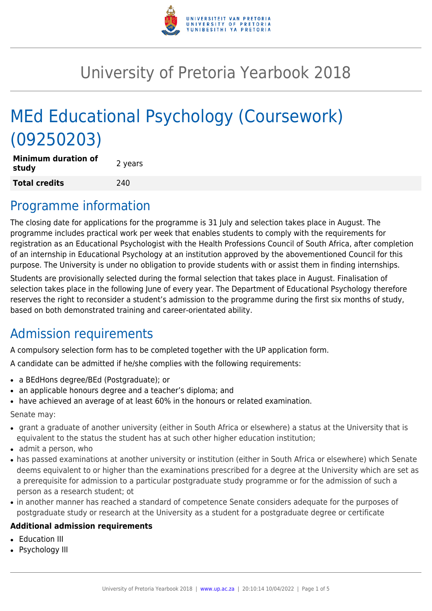

# University of Pretoria Yearbook 2018

# MEd Educational Psychology (Coursework) (09250203)

| <b>Minimum duration of</b><br>study | 2 years |
|-------------------------------------|---------|
| <b>Total credits</b>                | 240     |

### Programme information

The closing date for applications for the programme is 31 July and selection takes place in August. The programme includes practical work per week that enables students to comply with the requirements for registration as an Educational Psychologist with the Health Professions Council of South Africa, after completion of an internship in Educational Psychology at an institution approved by the abovementioned Council for this purpose. The University is under no obligation to provide students with or assist them in finding internships.

Students are provisionally selected during the formal selection that takes place in August. Finalisation of selection takes place in the following June of every year. The Department of Educational Psychology therefore reserves the right to reconsider a student's admission to the programme during the first six months of study, based on both demonstrated training and career-orientated ability.

# Admission requirements

A compulsory selection form has to be completed together with the UP application form.

A candidate can be admitted if he/she complies with the following requirements:

- a BEdHons degree/BEd (Postgraduate); or
- an applicable honours degree and a teacher's diploma; and
- have achieved an average of at least 60% in the honours or related examination.

Senate may:

- grant a graduate of another university (either in South Africa or elsewhere) a status at the University that is equivalent to the status the student has at such other higher education institution;
- admit a person, who
- has passed examinations at another university or institution (either in South Africa or elsewhere) which Senate deems equivalent to or higher than the examinations prescribed for a degree at the University which are set as a prerequisite for admission to a particular postgraduate study programme or for the admission of such a person as a research student; ot
- in another manner has reached a standard of competence Senate considers adequate for the purposes of postgraduate study or research at the University as a student for a postgraduate degree or certificate

#### **Additional admission requirements**

- **Education III**
- Psychology III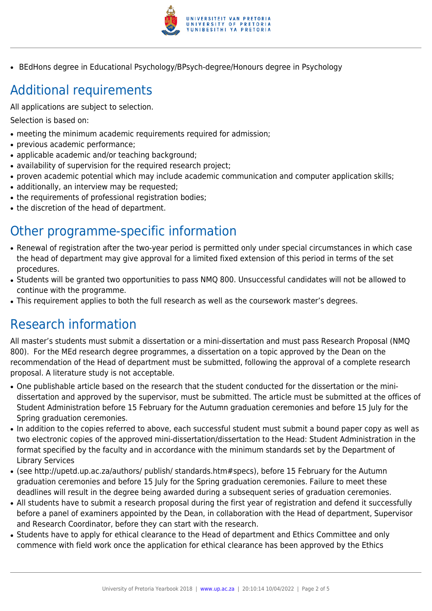

• BEdHons degree in Educational Psychology/BPsych-degree/Honours degree in Psychology

# Additional requirements

All applications are subject to selection.

Selection is based on:

- meeting the minimum academic requirements required for admission;
- previous academic performance:
- applicable academic and/or teaching background;
- availability of supervision for the required research project;
- proven academic potential which may include academic communication and computer application skills;
- additionally, an interview may be requested;
- the requirements of professional registration bodies;
- the discretion of the head of department.

# Other programme-specific information

- Renewal of registration after the two-year period is permitted only under special circumstances in which case the head of department may give approval for a limited fixed extension of this period in terms of the set procedures.
- Students will be granted two opportunities to pass NMQ 800. Unsuccessful candidates will not be allowed to continue with the programme.
- This requirement applies to both the full research as well as the coursework master's degrees.

# Research information

All master's students must submit a dissertation or a mini-dissertation and must pass Research Proposal (NMQ 800). For the MEd research degree programmes, a dissertation on a topic approved by the Dean on the recommendation of the Head of department must be submitted, following the approval of a complete research proposal. A literature study is not acceptable.

- One publishable article based on the research that the student conducted for the dissertation or the minidissertation and approved by the supervisor, must be submitted. The article must be submitted at the offices of Student Administration before 15 February for the Autumn graduation ceremonies and before 15 July for the Spring graduation ceremonies.
- In addition to the copies referred to above, each successful student must submit a bound paper copy as well as two electronic copies of the approved mini-dissertation/dissertation to the Head: Student Administration in the format specified by the faculty and in accordance with the minimum standards set by the Department of Library Services
- (see http://upetd.up.ac.za/authors/ publish/ standards.htm#specs), before 15 February for the Autumn graduation ceremonies and before 15 July for the Spring graduation ceremonies. Failure to meet these deadlines will result in the degree being awarded during a subsequent series of graduation ceremonies.
- All students have to submit a research proposal during the first year of registration and defend it successfully before a panel of examiners appointed by the Dean, in collaboration with the Head of department, Supervisor and Research Coordinator, before they can start with the research.
- Students have to apply for ethical clearance to the Head of department and Ethics Committee and only commence with field work once the application for ethical clearance has been approved by the Ethics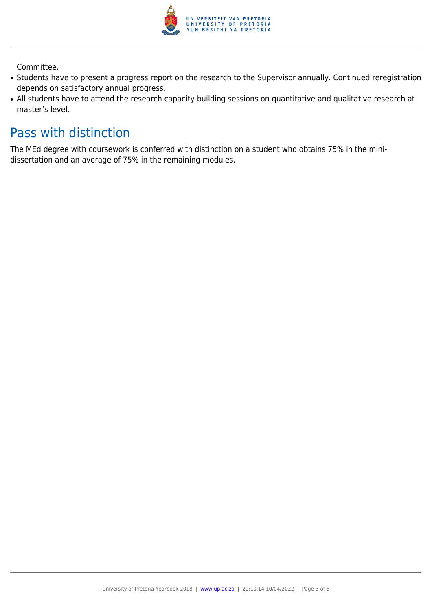

Committee.

- Students have to present a progress report on the research to the Supervisor annually. Continued reregistration depends on satisfactory annual progress.
- All students have to attend the research capacity building sessions on quantitative and qualitative research at master's level.

## Pass with distinction

The MEd degree with coursework is conferred with distinction on a student who obtains 75% in the minidissertation and an average of 75% in the remaining modules.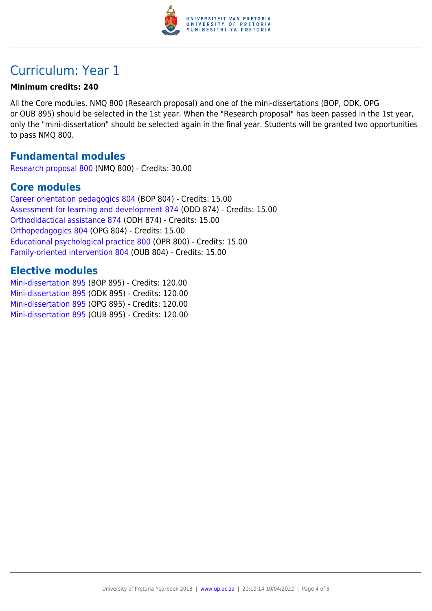

# Curriculum: Year 1

#### **Minimum credits: 240**

All the Core modules, NMQ 800 (Research proposal) and one of the mini-dissertations (BOP, ODK, OPG or OUB 895) should be selected in the 1st year. When the "Research proposal" has been passed in the 1st year, only the "mini-dissertation" should be selected again in the final year. Students will be granted two opportunities to pass NMQ 800.

#### **Fundamental modules**

[Research proposal 800](https://www.up.ac.za/faculty-of-education/yearbooks/2018/modules/view/NMQ 800) (NMQ 800) - Credits: 30.00

#### **Core modules**

[Career orientation pedagogics 804](https://www.up.ac.za/faculty-of-education/yearbooks/2018/modules/view/BOP 804) (BOP 804) - Credits: 15.00 [Assessment for learning and development 874](https://www.up.ac.za/faculty-of-education/yearbooks/2018/modules/view/ODD 874) (ODD 874) - Credits: 15.00 [Orthodidactical assistance 874](https://www.up.ac.za/faculty-of-education/yearbooks/2018/modules/view/ODH 874) (ODH 874) - Credits: 15.00 [Orthopedagogics 804](https://www.up.ac.za/faculty-of-education/yearbooks/2018/modules/view/OPG 804) (OPG 804) - Credits: 15.00 [Educational psychological practice 800](https://www.up.ac.za/faculty-of-education/yearbooks/2018/modules/view/OPR 800) (OPR 800) - Credits: 15.00 [Family-oriented intervention 804](https://www.up.ac.za/faculty-of-education/yearbooks/2018/modules/view/OUB 804) (OUB 804) - Credits: 15.00

#### **Elective modules**

[Mini-dissertation 895](https://www.up.ac.za/faculty-of-education/yearbooks/2018/modules/view/BOP 895) (BOP 895) - Credits: 120.00 [Mini-dissertation 895](https://www.up.ac.za/faculty-of-education/yearbooks/2018/modules/view/ODK 895) (ODK 895) - Credits: 120.00 [Mini-dissertation 895](https://www.up.ac.za/faculty-of-education/yearbooks/2018/modules/view/OPG 895) (OPG 895) - Credits: 120.00 [Mini-dissertation 895](https://www.up.ac.za/faculty-of-education/yearbooks/2018/modules/view/OUB 895) (OUB 895) - Credits: 120.00